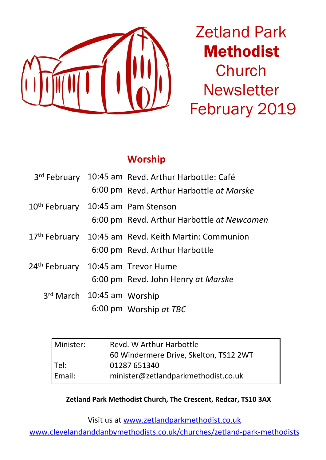

Zetland Park Methodist **Church Newsletter** February 2019

#### **Worship**

|                                                | 3rd February 10:45 am Revd. Arthur Harbottle: Café   |  |
|------------------------------------------------|------------------------------------------------------|--|
|                                                | 6:00 pm Revd. Arthur Harbottle at Marske             |  |
| 10 <sup>th</sup> February 10:45 am Pam Stenson |                                                      |  |
|                                                | 6:00 pm Revd. Arthur Harbottle at Newcomen           |  |
|                                                | 17th February 10:45 am Revd. Keith Martin: Communion |  |
|                                                | 6:00 pm Revd. Arthur Harbottle                       |  |
| 24 <sup>th</sup> February                      | 10:45 am Trevor Hume                                 |  |
|                                                | 6:00 pm Revd. John Henry at Marske                   |  |
| 3rd March 10:45 am Worship                     |                                                      |  |
|                                                | 6:00 pm Worship at TBC                               |  |

| Revd. W Arthur Harbottle               |  |  |
|----------------------------------------|--|--|
| 60 Windermere Drive, Skelton, TS12 2WT |  |  |
| 01287 651340                           |  |  |
| minister@zetlandparkmethodist.co.uk    |  |  |
|                                        |  |  |

**Zetland Park Methodist Church, The Crescent, Redcar, TS10 3AX**

Visit us at www.zetlandparkmethodist.co.uk

www.clevelandanddanbymethodists.co.uk/churches/zetland-park-methodists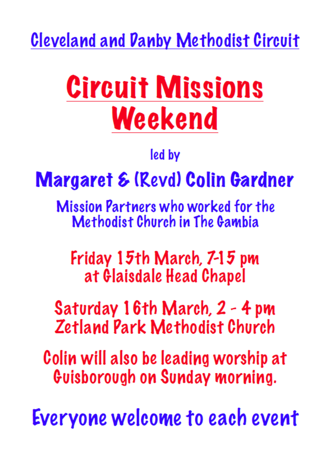**Cleveland and Danby Methodist Circuit** 

# **Circuit Missions** Weekend

led by

# **Margaret & (Revd) Colin Gardner**

**Mission Partners who worked for the** Methodist Church in The Gambia

Friday 15th March, 7-15 pm at Glaisdale Head Chapel

Saturday 16th March, 2 - 4 pm **Zetland Park Methodist Church** 

Colin will also be leading worship at Guisborough on Sunday morning.

Everyone welcome to each event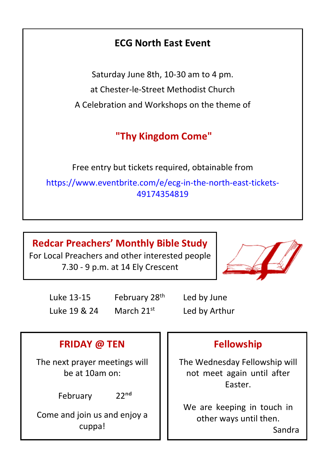## **ECG North East Event**

Saturday June 8th, 10-30 am to 4 pm. at Chester-le-Street Methodist Church A Celebration and Workshops on the theme of

# **"Thy Kingdom Come"**

Free entry but tickets required, obtainable from [https://www.eventbrite.com/e/ecg-in-the-north-east-tickets-](https://www.eventbrite.com/e/ecg-in-the-north-east-tickets-49174354819)[49174354819](https://www.eventbrite.com/e/ecg-in-the-north-east-tickets-49174354819)

**Redcar Preachers' Monthly Bible Study** For Local Preachers and other interested people 7.30 - 9 p.m. at 14 Ely Crescent



Luke 13-15 February 28<sup>th</sup> Led by June Luke 19 & 24 March  $21<sup>st</sup>$  Led by Arthur

## **FRIDAY @ TEN**

The next prayer meetings will be at 10am on:

February 22nd

Come and join us and enjoy a cuppa!

#### **Fellowship**

The Wednesday Fellowship will not meet again until after Easter.

We are keeping in touch in other ways until then. Sandra